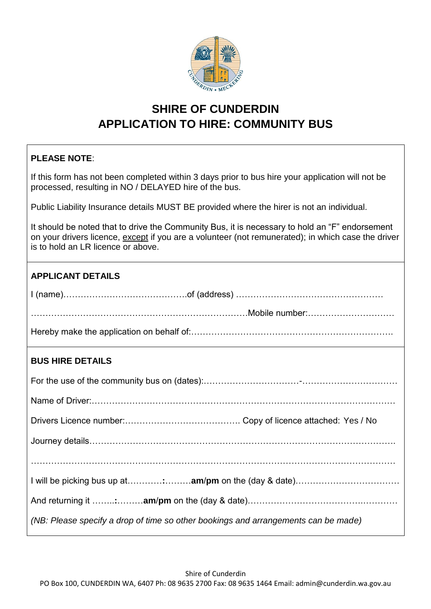

# **SHIRE OF CUNDERDIN APPLICATION TO HIRE: COMMUNITY BUS**

## **PLEASE NOTE**:

If this form has not been completed within 3 days prior to bus hire your application will not be processed, resulting in NO / DELAYED hire of the bus.

Public Liability Insurance details MUST BE provided where the hirer is not an individual.

It should be noted that to drive the Community Bus, it is necessary to hold an "F" endorsement on your drivers licence, except if you are a volunteer (not remunerated); in which case the driver is to hold an LR licence or above.

| <b>APPLICANT DETAILS</b> |  |
|--------------------------|--|
|                          |  |
|                          |  |
|                          |  |
| <b>BUS HIRE DETAILS</b>  |  |
|                          |  |
|                          |  |
|                          |  |
|                          |  |
|                          |  |
|                          |  |
|                          |  |

*(NB: Please specify a drop of time so other bookings and arrangements can be made)*